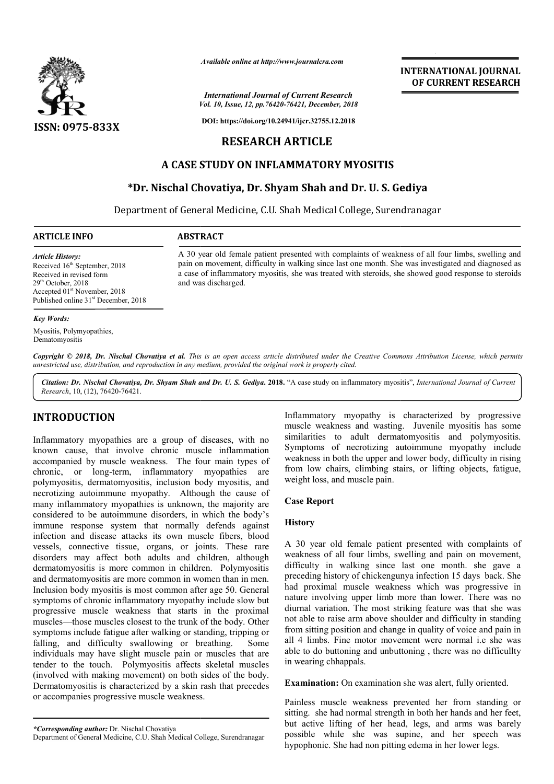

*Available online at http://www.journalcra.com*

*Vol. 10, Issue, 12, pp. pp.76420-76421, December, 2018 International Journal of Current Research*

**DOI: https://doi.org/10.24941/ijcr.32755.12.2018**

# **RESEARCH ARTICLE**

# **A CASE STUDY ON INFLAMMATORY MYOSITIS**

# **\*Dr. Nischal Chovatiya, Dr. Shyam Shah and Dr. U. S. Gediya Gediya**

Department of General Medicine, C.U. Shah Medical College, Surendranagar

A 30 year old female patient presented with complaints of weakness of all four limbs, swelling and pain on movement, difficulty in walking since last one month. She was investigated and diagnosed as a case of inflammatory myositis, she was treated with steroids, she showed good response to steroids

## **ARTICLE INFO ABSTRACT**

and was discharged.

*Article History:* Received  $16^{th}$  September, 2018 Received in revised form 29<sup>th</sup> October, 2018 Accepted 01st November, 2018 Published online 31<sup>st</sup> December, 2018

#### *Key Words:*

Myositis, Polymyopathies, Dematomyositis

Copyright © 2018, Dr. Nischal Chovatiya et al. This is an open access article distributed under the Creative Commons Attribution License, which permits *unrestricted use, distribution, and reproduction in any medium, provided the original work is properly cited.*

Citation: Dr. Nischal Chovatiya, Dr. Shyam Shah and Dr. U. S. Gediya. 2018. "A case study on inflammatory myositis", International Journal of Current *Research*, 10, (12), 76420-76421.

# **INTRODUCTION**

Inflammatory myopathies are a group of diseases, with no known cause, that involve chronic muscle inflammation accompanied by muscle weakness. The four main types of chronic, or long-term, inflammatory myopathies are polymyositis, dermatomyositis, inclusion body myositis, and necrotizing autoimmune myopathy. Although the cause of many inflammatory myopathies is unknown, the majority are considered to be autoimmune disorders, in which the body's immune response system that normally defends against infection and disease attacks its own muscle fibers, blood vessels, connective tissue, organs, or joints. These rare disorders may affect both adults and children, although dermatomyositis is more common in children. Polymyositis and dermatomyositis are more common in women than in men. Inclusion body myositis is most common after age 50. General symptoms of chronic inflammatory myopathy include slow but progressive muscle weakness that starts in the proximal muscles—those muscles closest to the trunk of the body. Other symptoms include fatigue after walking or standing, tripping or falling, and difficulty swallowing or breathing. Some individuals may have slight muscle pain or muscles that are tender to the touch. Polymyositis affects skeletal muscles (involved with making movement) on both sides of the body. Dermatomyositis is characterized by a skin rash that precedes or accompanies progressive muscle weakness.

Inflammatory myopathy is characterized by progressive muscle weakness and wasting. Juvenile myositis has some similarities to adult dermatomyositis and polymyositis. Symptoms of necrotizing autoimmune myopathy include weakness in both the upper and lower body, difficulty in rising from low chairs, climbing stairs, or lifting objects, fatigue, weight loss, and muscle pain.

## **Case Report**

## **History**

A 30 year old female patient presented with complaints of weakness of all four limbs, swelling and pain on movement, difficulty in walking since last one month. she gave a preceding history of chickengunya infection 15 days back. She had proximal muscle weakness which was progressive in nature involving upper limb more than lower. There was no diurnal variation. The most striking feature was that she was not able to raise arm above shoulder and difficulty in standing from sitting position and change in quality of voice and pain in all 4 limbs. Fine motor movement movement were normal i.e she was able to do buttoning and unbuttoning , there was no difficullty in wearing chhappals.

**Examination:** On examination she was alert, fully oriented.

Painless muscle weakness prevented her from standing or sitting. she had normal strength in both her hands and her feet, but active lifting of her head, legs, and arms was barely possible while she was supine, and her speech was hypophonic. She had non pitting edema in her lower legs.

*<sup>\*</sup>Corresponding author:* Dr. Nischal Chovatiya

Department of General Medicine, C.U. Shah Medical College, Surendranagar